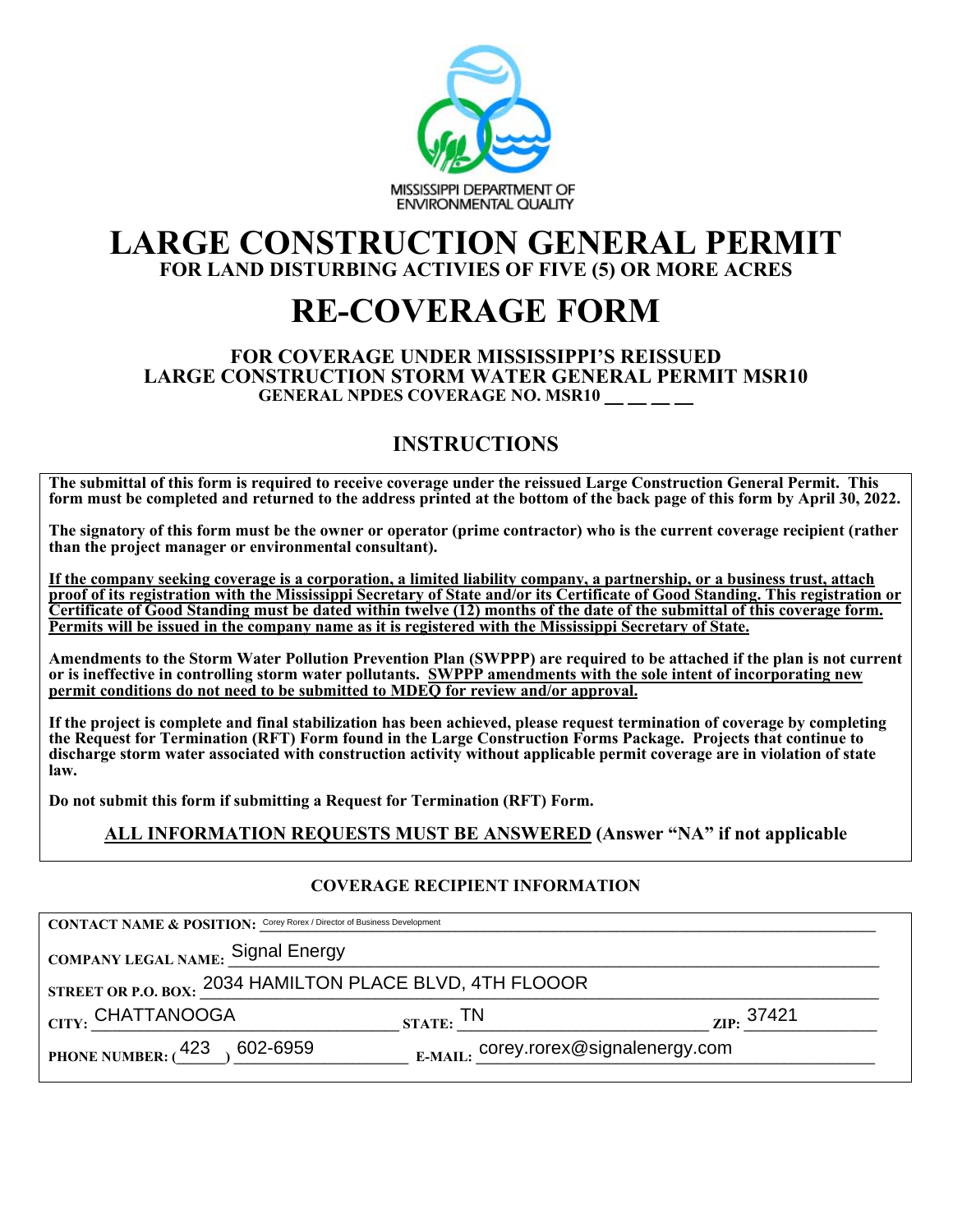

## **LARGE CONSTRUCTION GENERAL PERMIT FOR LAND DISTURBING ACTIVIES OF FIVE (5) OR MORE ACRES**

# **RE-COVERAGE FORM**

#### **FOR COVERAGE UNDER MISSISSIPPI'S REISSUED LARGE CONSTRUCTION STORM WATER GENERAL PERMIT MSR10** GENERAL NPDES COVERAGE NO. MSR10 \_\_ \_ \_

## **INSTRUCTIONS**

**The submittal of this form is required to receive coverage under the reissued Large Construction General Permit. This form must be completed and returned to the address printed at the bottom of the back page of this form by April 30, 2022.** 

**The signatory of this form must be the owner or operator (prime contractor) who is the current coverage recipient (rather than the project manager or environmental consultant).** 

**If the company seeking coverage is a corporation, a limited liability company, a partnership, or a business trust, attach proof of its registration with the Mississippi Secretary of State and/or its Certificate of Good Standing. This registration or Certificate of Good Standing must be dated within twelve (12) months of the date of the submittal of this coverage form. Permits will be issued in the company name as it is registered with the Mississippi Secretary of State.** 

**Amendments to the Storm Water Pollution Prevention Plan (SWPPP) are required to be attached if the plan is not current or is ineffective in controlling storm water pollutants. SWPPP amendments with the sole intent of incorporating new permit conditions do not need to be submitted to MDEQ for review and/or approval.** 

**If the project is complete and final stabilization has been achieved, please request termination of coverage by completing the Request for Termination (RFT) Form found in the Large Construction Forms Package. Projects that continue to discharge storm water associated with construction activity without applicable permit coverage are in violation of state law.** 

**Do not submit this form if submitting a Request for Termination (RFT) Form.** 

## **ALL INFORMATION REQUESTS MUST BE ANSWERED (Answer "NA" if not applicable**

### **COVERAGE RECIPIENT INFORMATION**

| <b>CONTACT NAME &amp; POSITION:</b> Corey Rorex / Director of Business Development |                                      |                      |  |  |
|------------------------------------------------------------------------------------|--------------------------------------|----------------------|--|--|
| COMPANY LEGAL NAME: Signal Energy                                                  |                                      |                      |  |  |
| STREET OR P.O. BOX: 2034 HAMILTON PLACE BLVD, 4TH FLOOOR                           |                                      |                      |  |  |
| CITY: CHATTANOOGA                                                                  | STATE: <sup>TN</sup>                 | $_{\rm ZIP}$ : 37421 |  |  |
| PHONE NUMBER: $(423, 602 - 6959)$                                                  | E-MAIL: corey.rorex@signalenergy.com |                      |  |  |